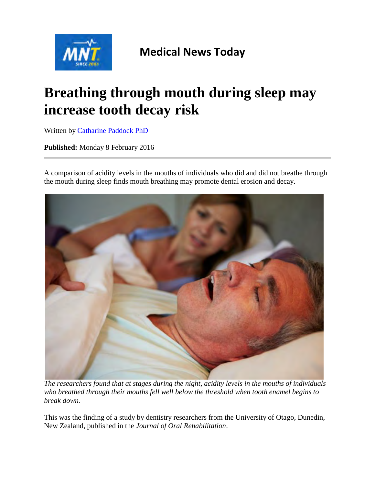

## **Medical News Today**

# **Breathing through mouth during sleep may increase tooth decay risk**

Written by [Catharine Paddock PhD](http://www.medicalnewstoday.com/authors/catharine-paddock-phd)

**Published:** Monday 8 February 2016

A comparison of acidity levels in the mouths of individuals who did and did not breathe through the mouth during sleep finds mouth breathing may promote dental erosion and decay.



*The researchers found that at stages during the night, acidity levels in the mouths of individuals who breathed through their mouths fell well below the threshold when tooth enamel begins to break down.*

This was the finding of a study by dentistry researchers from the University of Otago, Dunedin, New Zealand, published in the *Journal of Oral Rehabilitation*.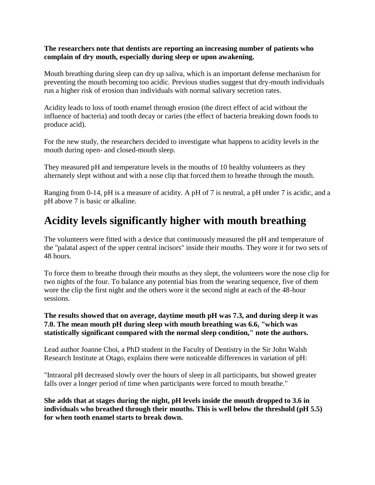#### **The researchers note that dentists are reporting an increasing number of patients who complain of dry mouth, especially during sleep or upon awakening.**

Mouth breathing during sleep can dry up saliva, which is an important defense mechanism for preventing the mouth becoming too acidic. Previous studies suggest that dry-mouth individuals run a higher risk of erosion than individuals with normal salivary secretion rates.

Acidity leads to loss of tooth enamel through erosion (the direct effect of acid without the influence of bacteria) and tooth decay or caries (the effect of bacteria breaking down foods to produce acid).

For the new study, the researchers decided to investigate what happens to acidity levels in the mouth during open- and closed-mouth sleep.

They measured pH and temperature levels in the mouths of 10 healthy volunteers as they alternately slept without and with a nose clip that forced them to breathe through the mouth.

Ranging from 0-14, pH is a measure of acidity. A pH of 7 is neutral, a pH under 7 is acidic, and a pH above 7 is basic or alkaline.

### **Acidity levels significantly higher with mouth breathing**

The volunteers were fitted with a device that continuously measured the pH and temperature of the "palatal aspect of the upper central incisors" inside their mouths. They wore it for two sets of 48 hours.

To force them to breathe through their mouths as they slept, the volunteers wore the nose clip for two nights of the four. To balance any potential bias from the wearing sequence, five of them wore the clip the first night and the others wore it the second night at each of the 48-hour sessions.

#### **The results showed that on average, daytime mouth pH was 7.3, and during sleep it was 7.0. The mean mouth pH during sleep with mouth breathing was 6.6, "which was statistically significant compared with the normal sleep condition," note the authors.**

Lead author Joanne Choi, a PhD student in the Faculty of Dentistry in the Sir John Walsh Research Institute at Otago, explains there were noticeable differences in variation of pH:

"Intraoral pH decreased slowly over the hours of sleep in all participants, but showed greater falls over a longer period of time when participants were forced to mouth breathe."

**She adds that at stages during the night, pH levels inside the mouth dropped to 3.6 in individuals who breathed through their mouths. This is well below the threshold (pH 5.5) for when tooth enamel starts to break down.**